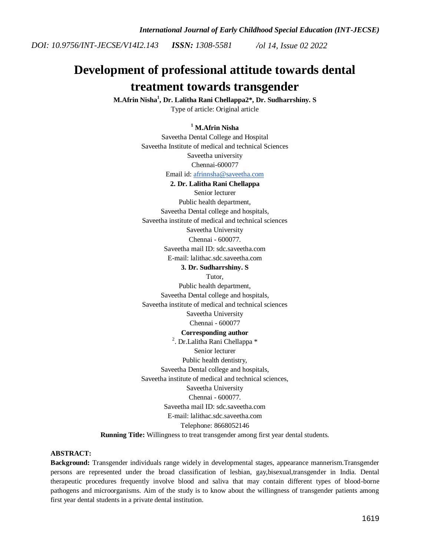# **Development of professional attitude towards dental treatment towards transgender**

**M.Afrin Nisha<sup>1</sup> , Dr. Lalitha Rani Chellappa2\*, Dr. Sudharrshiny. S** Type of article: Original article

## **<sup>1</sup> M.Afrin Nisha**

Saveetha Dental College and Hospital Saveetha Institute of medical and technical Sciences Saveetha university Chennai-600077 Email id[: afrinnsha@saveetha.com](mailto:afrinnsha@saveetha.com) **2. Dr. Lalitha Rani Chellappa** Senior lecturer Public health department, Saveetha Dental college and hospitals, Saveetha institute of medical and technical sciences Saveetha University Chennai - 600077. Saveetha mail ID: sdc.saveetha.com E-mail: lalithac.sdc.saveetha.com **3. Dr. Sudharrshiny. S** Tutor, Public health department, Saveetha Dental college and hospitals, Saveetha institute of medical and technical sciences Saveetha University Chennai - 600077 **Corresponding author**

<sup>2</sup>. Dr.Lalitha Rani Chellappa \* Senior lecturer Public health dentistry, Saveetha Dental college and hospitals, Saveetha institute of medical and technical sciences, Saveetha University Chennai - 600077. Saveetha mail ID: sdc.saveetha.com E-mail: lalithac.sdc.saveetha.com Telephone: 8668052146 **Running Title:** Willingness to treat transgender among first year dental students.

## **ABSTRACT:**

**Background:** Transgender individuals range widely in developmental stages, appearance mannerism.Transgender persons are represented under the broad classification of lesbian, gay,bisexual,transgender in India. Dental therapeutic procedures frequently involve blood and saliva that may contain different types of blood-borne pathogens and microorganisms. Aim of the study is to know about the willingness of transgender patients among first year dental students in a private dental institution.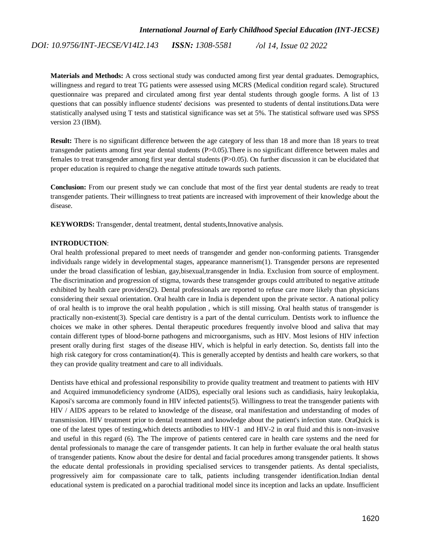**Materials and Methods:** A cross sectional study was conducted among first year dental graduates. Demographics, willingness and regard to treat TG patients were assessed using MCRS (Medical condition regard scale). Structured questionnaire was prepared and circulated among first year dental students through google forms. A list of 13 questions that can possibly influence students' decisions was presented to students of dental institutions.Data were statistically analysed using T tests and statistical significance was set at 5%. The statistical software used was SPSS version 23 (IBM).

**Result:** There is no significant difference between the age category of less than 18 and more than 18 years to treat transgender patients among first year dental students (P>0.05).There is no significant difference between males and females to treat transgender among first year dental students (P>0.05). On further discussion it can be elucidated that proper education is required to change the negative attitude towards such patients.

**Conclusion:** From our present study we can conclude that most of the first year dental students are ready to treat transgender patients. Their willingness to treat patients are increased with improvement of their knowledge about the disease.

**KEYWORDS:** Transgender, dental treatment, dental students,Innovative analysis.

#### **INTRODUCTION**:

Oral health professional prepared to meet needs of transgender and gender non-conforming patients. Transgender individuals range widely in developmental stages, appearance manneris[m\(1\).](https://paperpile.com/c/UMco3h/QRC5) Transgender persons are represented under the broad classification of lesbian, gay,bisexual,transgender in India. Exclusion from source of employment. The discrimination and progression of stigma, towards these transgender groups could attributed to negative attitude exhibited by health care provider[s\(2\).](https://paperpile.com/c/UMco3h/8NVh) Dental professionals are reported to refuse care more likely than physicians considering their sexual orientation. Oral health care in India is dependent upon the private sector. A national policy of oral health is to improve the oral health population , which is still missing. Oral health status of transgender is practically non-existen[t\(3\).](https://paperpile.com/c/UMco3h/QlqD) Special care dentistry is a part of the dental curriculum. Dentists work to influence the choices we make in other spheres. Dental therapeutic procedures frequently involve blood and saliva that may contain different types of blood-borne pathogens and microorganisms, such as HIV. Most lesions of HIV infection present orally during first stages of the disease HIV, which is helpful in early detection. So, dentists fall into the high risk category for cross contaminatio[n\(4\).](https://paperpile.com/c/UMco3h/BgS2) This is generally accepted by dentists and health care workers, so that they can provide quality treatment and care to all individuals.

Dentists have ethical and professional responsibility to provide quality treatment and treatment to patients with HIV and Acquired immunodeficiency syndrome (AIDS), especially oral lesions such as candidiasis, hairy leukoplakia, Kaposi's sarcoma are commonly found in HIV infected patient[s\(5\).](https://paperpile.com/c/UMco3h/6S8L) Willingness to treat the transgender patients with HIV / AIDS appears to be related to knowledge of the disease, oral manifestation and understanding of modes of transmission. HIV treatment prior to dental treatment and knowledge about the patient's infection state. OraQuick is one of the latest types of testing,which detects antibodies to HIV-1 and HIV-2 in oral fluid and this is non-invasive and useful in this regard [\(6\).](https://paperpile.com/c/UMco3h/Vgdr) The The improve of patients centered care in health care systems and the need for dental professionals to manage the care of transgender patients. It can help in further evaluate the oral health status of transgender patients. Know about the desire for dental and facial procedures among transgender patients. It shows the educate dental professionals in providing specialised services to transgender patients. As dental specialists, progressively aim for compassionate care to talk, patients including transgender identification.Indian dental educational system is predicated on a parochial traditional model since its inception and lacks an update. Insufficient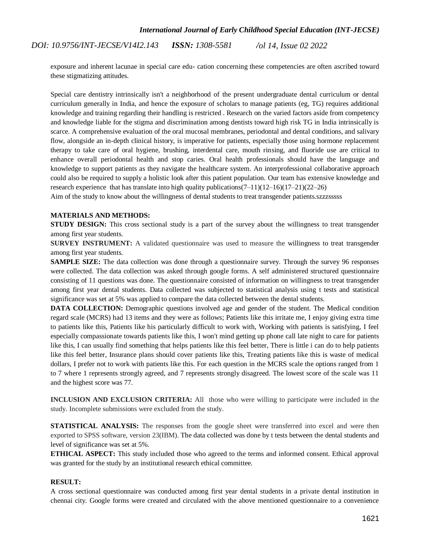exposure and inherent lacunae in special care edu- cation concerning these competencies are often ascribed toward these stigmatizing attitudes.

Special care dentistry intrinsically isn't a neighborhood of the present undergraduate dental curriculum or dental curriculum generally in India, and hence the exposure of scholars to manage patients (eg, TG) requires additional knowledge and training regarding their handling is restricted . Research on the varied factors aside from competency and knowledge liable for the stigma and discrimination among dentists toward high risk TG in India intrinsically is scarce. A comprehensive evaluation of the oral mucosal membranes, periodontal and dental conditions, and salivary flow, alongside an in-depth clinical history, is imperative for patients, especially those using hormone replacement therapy to take care of oral hygiene, brushing, interdental care, mouth rinsing, and fluoride use are critical to enhance overall periodontal health and stop caries. Oral health professionals should have the language and knowledge to support patients as they navigate the healthcare system. An interprofessional collaborative approach could also be required to supply a holistic look after this patient population. Our team has extensive knowledge and research experience that has translate into high quality publications $(7-11)(12-16)(17-21)(22-26)$ 

Aim of the study to know about the willingness of dental students to treat transgender patients.szzzsssss

#### **MATERIALS AND METHODS:**

**STUDY DESIGN:** This cross sectional study is a part of the survey about the willingness to treat transgender among first year students.

**SURVEY INSTRUMENT:** A validated questionnaire was used to measure the willingness to treat transgender among first year students.

**SAMPLE SIZE:** The data collection was done through a questionnaire survey. Through the survey 96 responses were collected. The data collection was asked through google forms. A self administered structured questionnaire consisting of 11 questions was done. The questionnaire consisted of information on willingness to treat transgender among first year dental students. Data collected was subjected to statistical analysis using t tests and statistical significance was set at 5% was applied to compare the data collected between the dental students.

**DATA COLLECTION:** Demographic questions involved age and gender of the student. The Medical condition regard scale (MCRS) had 13 items and they were as follows; Patients like this irritate me, I enjoy giving extra time to patients like this, Patients like his particularly difficult to work with, Working with patients is satisfying, I feel especially compassionate towards patients like this, I won't mind getting up phone call late night to care for patients like this, I can usually find something that helps patients like this feel better, There is little i can do to help patients like this feel better, Insurance plans should cover patients like this, Treating patients like this is waste of medical dollars, I prefer not to work with patients like this. For each question in the MCRS scale the options ranged from 1 to 7 where 1 represents strongly agreed, and 7 represents strongly disagreed. The lowest score of the scale was 11 and the highest score was 77.

**INCLUSION AND EXCLUSION CRITERIA:** All those who were willing to participate were included in the study. Incomplete submissions were excluded from the study.

**STATISTICAL ANALYSIS:** The responses from the google sheet were transferred into excel and were then exported to SPSS software, version 23(IBM). The data collected was done by t tests between the dental students and level of significance was set at 5%.

**ETHICAL ASPECT:** This study included those who agreed to the terms and informed consent. Ethical approval was granted for the study by an institutional research ethical committee.

## **RESULT:**

A cross sectional questionnaire was conducted among first year dental students in a private dental institution in chennai city. Google forms were created and circulated with the above mentioned questionnaire to a convenience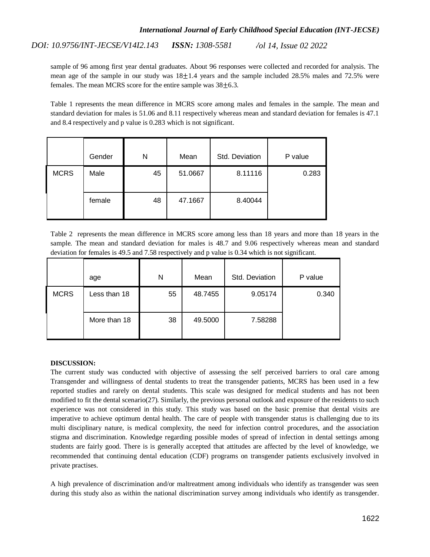sample of 96 among first year dental graduates. About 96 responses were collected and recorded for analysis. The mean age of the sample in our study was  $18\pm1.4$  years and the sample included 28.5% males and 72.5% were females. The mean MCRS score for the entire sample was  $38\pm6.3$ .

Table 1 represents the mean difference in MCRS score among males and females in the sample. The mean and standard deviation for males is 51.06 and 8.11 respectively whereas mean and standard deviation for females is 47.1 and 8.4 respectively and p value is 0.283 which is not significant.

|             | Gender | N  | Mean    | Std. Deviation | P value |
|-------------|--------|----|---------|----------------|---------|
| <b>MCRS</b> | Male   | 45 | 51.0667 | 8.11116        | 0.283   |
|             | female | 48 | 47.1667 | 8.40044        |         |

Table 2 represents the mean difference in MCRS score among less than 18 years and more than 18 years in the sample. The mean and standard deviation for males is 48.7 and 9.06 respectively whereas mean and standard deviation for females is 49.5 and 7.58 respectively and p value is 0.34 which is not significant.

|             | age          | N  | Mean    | Std. Deviation | P value |
|-------------|--------------|----|---------|----------------|---------|
| <b>MCRS</b> | Less than 18 | 55 | 48.7455 | 9.05174        | 0.340   |
|             | More than 18 | 38 | 49.5000 | 7.58288        |         |
|             |              |    |         |                |         |

## **DISCUSSION:**

The current study was conducted with objective of assessing the self perceived barriers to oral care among Transgender and willingness of dental students to treat the transgender patients, MCRS has been used in a few reported studies and rarely on dental students. This scale was designed for medical students and has not been modified to fit the dental scenari[o\(27\).](https://paperpile.com/c/UMco3h/toeb) Similarly, the previous personal outlook and exposure of the residents to such experience was not considered in this study. This study was based on the basic premise that dental visits are imperative to achieve optimum dental health. The care of people with transgender status is challenging due to its multi disciplinary nature, is medical complexity, the need for infection control procedures, and the association stigma and discrimination. Knowledge regarding possible modes of spread of infection in dental settings among students are fairly good. There is is generally accepted that attitudes are affected by the level of knowledge, we recommended that continuing dental education (CDF) programs on transgender patients exclusively involved in private practises.

A high prevalence of discrimination and/or maltreatment among individuals who identify as transgender was seen during this study also as within the national discrimination survey among individuals who identify as transgender.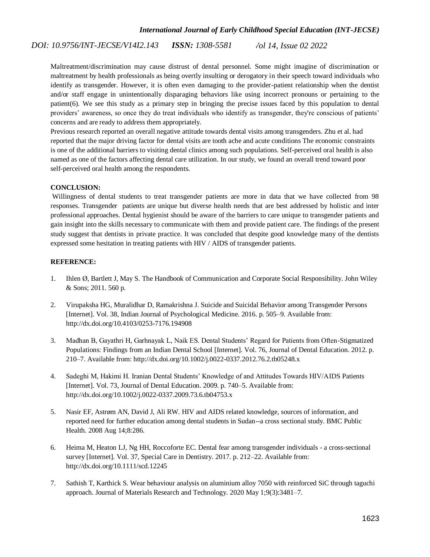Maltreatment/discrimination may cause distrust of dental personnel. Some might imagine of discrimination or maltreatment by health professionals as being overtly insulting or derogatory in their speech toward individuals who identify as transgender. However, it is often even damaging to the provider-patient relationship when the dentist and/or staff engage in unintentionally disparaging behaviors like using incorrect pronouns or pertaining to the patien[t\(6\).](https://paperpile.com/c/UMco3h/Vgdr) We see this study as a primary step in bringing the precise issues faced by this population to dental providers' awareness, so once they do treat individuals who identify as transgender, they're conscious of patients' concerns and are ready to address them appropriately.

Previous research reported an overall negative attitude towards dental visits among transgenders. Zhu et al. had reported that the major driving factor for dental visits are tooth ache and acute conditions The economic constraints is one of the additional barriers to visiting dental clinics among such populations. Self-perceived oral health is also named as one of the factors affecting dental care utilization. In our study, we found an overall trend toward poor self-perceived oral health among the respondents.

### **CONCLUSION:**

Willingness of dental students to treat transgender patients are more in data that we have collected from 98 responses. Transgender patients are unique but diverse health needs that are best addressed by holistic and inter professional approaches. Dental hygienist should be aware of the barriers to care unique to transgender patients and gain insight into the skills necessary to communicate with them and provide patient care. The findings of the present study suggest that dentists in private practice. It was concluded that despite good knowledge many of the dentists expressed some hesitation in treating patients with HIV / AIDS of transgender patients.

#### **REFERENCE:**

- 1. [Ihlen Ø, Bartlett J, May S. The Handbook of Communication and Corporate Social Responsibility. John Wiley](http://paperpile.com/b/UMco3h/QRC5)  [& Sons; 2011. 560 p.](http://paperpile.com/b/UMco3h/QRC5)
- 2. [Virupaksha HG, Muralidhar D, Ramakrishna J. Suicide and Suicidal Behavior among Transgender Persons](http://paperpile.com/b/UMco3h/8NVh)  [\[Internet\]. Vol. 38, Indian Journal of Psychological Medicine. 2016. p. 505–9. Available from:](http://paperpile.com/b/UMco3h/8NVh)  [http://dx.doi.org/10.4103/0253-7176.194908](http://paperpile.com/b/UMco3h/8NVh)
- 3. [Madhan B, Gayathri H, Garhnayak L, Naik ES. Dental Students' Regard for Patients from Often-Stigmatized](http://paperpile.com/b/UMco3h/QlqD)  [Populations: Findings from an Indian Dental School \[Internet\]. Vol. 76, Journal of Dental Education. 2012. p.](http://paperpile.com/b/UMco3h/QlqD)  [210–7. Available from: http://dx.doi.org/10.1002/j.0022-0337.2012.76.2.tb05248.x](http://paperpile.com/b/UMco3h/QlqD)
- 4. [Sadeghi M, Hakimi H. Iranian Dental Students' Knowledge of and Attitudes Towards HIV/AIDS Patients](http://paperpile.com/b/UMco3h/BgS2)  [\[Internet\]. Vol. 73, Journal of Dental Education. 2009. p. 740–5. Available from:](http://paperpile.com/b/UMco3h/BgS2)  [http://dx.doi.org/10.1002/j.0022-0337.2009.73.6.tb04753.x](http://paperpile.com/b/UMco3h/BgS2)
- 5. [Nasir EF, Astrøm AN, David J, Ali RW. HIV and AIDS related knowledge, sources of information, and](http://paperpile.com/b/UMco3h/6S8L)  [reported need for further education among dental students in Sudan--a cross sectional study. BMC Public](http://paperpile.com/b/UMco3h/6S8L)  [Health. 2008 Aug 14;8:286.](http://paperpile.com/b/UMco3h/6S8L)
- 6. [Heima M, Heaton LJ, Ng HH, Roccoforte EC. Dental fear among transgender individuals -](http://paperpile.com/b/UMco3h/Vgdr) a cross-sectional [survey \[Internet\]. Vol. 37, Special Care in Dentistry. 2017. p. 212–22. Available from:](http://paperpile.com/b/UMco3h/Vgdr)  [http://dx.doi.org/10.1111/scd.12245](http://paperpile.com/b/UMco3h/Vgdr)
- 7. [Sathish T, Karthick S. Wear behaviour analysis on aluminium alloy 7050 with reinforced SiC through taguchi](http://paperpile.com/b/UMco3h/5IXtx)  [approach. Journal of Materials Research and Technology. 2020 May 1;9\(3\):3481–7.](http://paperpile.com/b/UMco3h/5IXtx)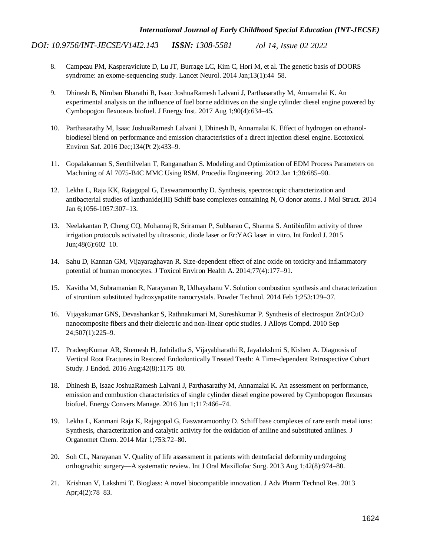- 8. [Campeau PM, Kasperaviciute D, Lu JT, Burrage LC, Kim C, Hori M, et al. The genetic basis of DOORS](http://paperpile.com/b/UMco3h/bNfAw)  [syndrome: an exome-sequencing study. Lancet Neurol. 2014 Jan;13\(1\):44–58.](http://paperpile.com/b/UMco3h/bNfAw)
- 9. [Dhinesh B, Niruban Bharathi R, Isaac JoshuaRamesh Lalvani J, Parthasarathy M, Annamalai K. An](http://paperpile.com/b/UMco3h/28UPx)  [experimental analysis on the influence of fuel borne additives](http://paperpile.com/b/UMco3h/28UPx) on the single cylinder diesel engine powered by [Cymbopogon flexuosus biofuel. J Energy Inst. 2017 Aug 1;90\(4\):634–45.](http://paperpile.com/b/UMco3h/28UPx)
- 10. [Parthasarathy M, Isaac JoshuaRamesh Lalvani J, Dhinesh B, Annamalai K. Effect of hydrogen on ethanol](http://paperpile.com/b/UMco3h/H8ifE)[biodiesel blend on performance and emission characteristics of a direct injection diesel engine. Ecotoxicol](http://paperpile.com/b/UMco3h/H8ifE)  [Environ Saf. 2016 Dec;134\(Pt 2\):433–9.](http://paperpile.com/b/UMco3h/H8ifE)
- 11. [Gopalakannan S, Senthilvelan T, Ranganathan S. Modeling and Optimization of EDM Process Parameters on](http://paperpile.com/b/UMco3h/WQHfp)  [Machining of Al 7075-B4C MMC Using RSM. Procedia Engineering. 2012 Jan 1;38:685–90.](http://paperpile.com/b/UMco3h/WQHfp)
- 12. [Lekha L, Raja KK, Rajagopal G, Easwaramoorthy D. Synthesis, spectroscopic characterization and](http://paperpile.com/b/UMco3h/dUlpi)  [antibacterial studies of lanthanide\(III\) Schiff base complexes containing N, O donor atoms. J Mol Struct. 2014](http://paperpile.com/b/UMco3h/dUlpi)  [Jan 6;1056-1057:307–13.](http://paperpile.com/b/UMco3h/dUlpi)
- 13. [Neelakantan P, Cheng CQ, Mohanraj R, Sriraman P, Subbarao C, Sharma S. Antibiofilm activity of three](http://paperpile.com/b/UMco3h/MsT62)  [irrigation protocols activated by ultrasonic, diode laser or Er:YAG laser in vitro. Int Endod J. 2015](http://paperpile.com/b/UMco3h/MsT62)  [Jun;48\(6\):602–10.](http://paperpile.com/b/UMco3h/MsT62)
- 14. [Sahu D, Kannan GM, Vijayaraghavan R. Size-dependent effect of zinc oxide on toxicity and inflammatory](http://paperpile.com/b/UMco3h/5r6fo)  [potential of human monocytes. J Toxicol Environ Health A. 2014;77\(4\):177–91.](http://paperpile.com/b/UMco3h/5r6fo)
- 15. [Kavitha M, Subramanian R, Narayanan R, Udhayabanu V. Solution combustion synthesis and characterization](http://paperpile.com/b/UMco3h/tlHFe)  [of strontium substituted hydroxyapatite nanocrystals. Powder Technol. 2014 Feb 1;253:129–37.](http://paperpile.com/b/UMco3h/tlHFe)
- 16. [Vijayakumar GNS, Devashankar S, Rathnakumari M, Sureshkumar P. Synthesis of electrospun ZnO/CuO](http://paperpile.com/b/UMco3h/7dgk5)  [nanocomposite fibers and their dielectric and non-linear optic studies. J Alloys Compd. 2010 Sep](http://paperpile.com/b/UMco3h/7dgk5)  [24;507\(1\):225–9.](http://paperpile.com/b/UMco3h/7dgk5)
- 17. [PradeepKumar AR, Shemesh H, Jothilatha S, Vijayabharathi R, Jayalakshmi S, Kishen A. Diagnosis of](http://paperpile.com/b/UMco3h/pXLSl)  [Vertical Root Fractures in Restored Endodontically Treated Teeth: A Time-dependent Retrospective Cohort](http://paperpile.com/b/UMco3h/pXLSl)  [Study. J Endod. 2016 Aug;42\(8\):1175–80.](http://paperpile.com/b/UMco3h/pXLSl)
- 18. [Dhinesh B, Isaac JoshuaRamesh Lalvani J, Parthasarathy M, Annamalai K. An assessment on performance,](http://paperpile.com/b/UMco3h/hsELi)  [emission and combustion characteristics of single cylinder diesel engine powered by Cymbopogon flexuosus](http://paperpile.com/b/UMco3h/hsELi)  [biofuel. Energy Convers Manage. 2016 Jun 1;117:466–74.](http://paperpile.com/b/UMco3h/hsELi)
- 19. [Lekha L, Kanmani Raja K, Rajagopal G, Easwaramoorthy D. Schiff base complexes of rare earth metal ions:](http://paperpile.com/b/UMco3h/xUWLH)  [Synthesis, characterization and catalytic activity for the oxidation of aniline and substituted anilines. J](http://paperpile.com/b/UMco3h/xUWLH)  [Organomet Chem. 2014 Mar 1;753:72–80.](http://paperpile.com/b/UMco3h/xUWLH)
- 20. [Soh CL, Narayanan V. Quality of life assessment in patients with dentofacial deformity undergoing](http://paperpile.com/b/UMco3h/ElQGY)  [orthognathic surgery—A systematic review. Int J Oral Maxillofac Surg. 2013 Aug 1;42\(8\):974–80.](http://paperpile.com/b/UMco3h/ElQGY)
- 21. [Krishnan V, Lakshmi T. Bioglass: A novel biocompatible innovation. J Adv Pharm Technol Res. 2013](http://paperpile.com/b/UMco3h/A3sE2)  [Apr;4\(2\):78–83.](http://paperpile.com/b/UMco3h/A3sE2)